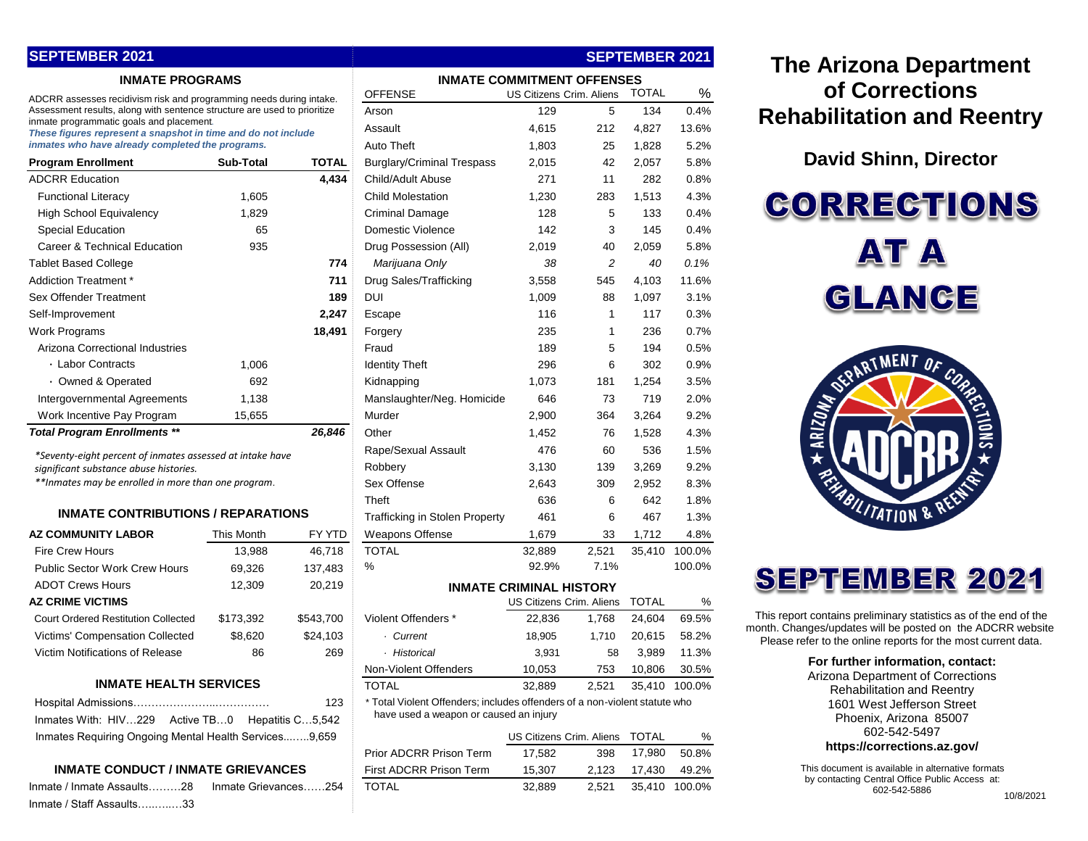## **SEPTEMBER 2021**

#### **INMATE PROGRAMS**

| <b>Program Enrollment</b>           | <b>Sub-Total</b> | TOTAL  |
|-------------------------------------|------------------|--------|
| <b>ADCRR Education</b>              |                  | 4,434  |
| <b>Functional Literacy</b>          | 1,605            |        |
| <b>High School Equivalency</b>      | 1,829            |        |
| <b>Special Education</b>            | 65               |        |
| Career & Technical Education        | 935              |        |
| <b>Tablet Based College</b>         |                  | 774    |
| Addiction Treatment *               |                  | 711    |
| Sex Offender Treatment              |                  | 189    |
| Self-Improvement                    |                  | 2,247  |
| Work Programs                       |                  | 18,491 |
| Arizona Correctional Industries     |                  |        |
| ⋅ Labor Contracts                   | 1,006            |        |
| • Owned & Operated                  | 692              |        |
| Intergovernmental Agreements        | 1,138            |        |
| Work Incentive Pay Program          | 15,655           |        |
| <b>Total Program Enrollments **</b> |                  | 26,846 |

#### **INMATE CONTRIBUTIONS / REPARATIONS**

| <b>AZ COMMUNITY LABOR</b>                  | This Month | FY YTD    |
|--------------------------------------------|------------|-----------|
| <b>Fire Crew Hours</b>                     | 13,988     | 46,718    |
| <b>Public Sector Work Crew Hours</b>       | 69,326     | 137,483   |
| <b>ADOT Crews Hours</b>                    | 12.309     | 20,219    |
| <b>AZ CRIME VICTIMS</b>                    |            |           |
| <b>Court Ordered Restitution Collected</b> | \$173,392  | \$543,700 |
| <b>Victims' Compensation Collected</b>     | \$8,620    | \$24,103  |
| Victim Notifications of Release            | 86         | 269       |

#### **INMATE HEALTH SERVICES**

|                                                       | 123 |
|-------------------------------------------------------|-----|
| Inmates With: HIV229 Active TB0 Hepatitis C5,542      |     |
| Inmates Requiring Ongoing Mental Health Services9.659 |     |

#### **INMATE CONDUCT / INMATE GRIEVANCES**

|                           | Inmate / Inmate Assaults28  Inmate Grievances254  TOTAL | 32.889 | 2.521 35.410 100.0% |
|---------------------------|---------------------------------------------------------|--------|---------------------|
| Inmate / Staff Assaults33 |                                                         |        |                     |

| <b>INMATE PROGRAMS</b>                                                                                    | <b>INMATE COMMITMENT OFFENSES</b> |                         |                                                                                                                      |                                |       |              |               |
|-----------------------------------------------------------------------------------------------------------|-----------------------------------|-------------------------|----------------------------------------------------------------------------------------------------------------------|--------------------------------|-------|--------------|---------------|
| ADCRR assesses recidivism risk and programming needs during intake.                                       |                                   |                         | <b>OFFENSE</b>                                                                                                       | US Citizens Crim. Aliens       |       | <b>TOTAL</b> | %             |
| Assessment results, along with sentence structure are used to prioritize                                  |                                   |                         | Arson                                                                                                                | 129                            | 5     | 134          | 0.4%          |
| inmate programmatic goals and placement.<br>These figures represent a snapshot in time and do not include |                                   |                         | Assault                                                                                                              | 4,615                          | 212   | 4,827        | 13.6%         |
| inmates who have already completed the programs.                                                          |                                   |                         | Auto Theft                                                                                                           | 1,803                          | 25    | 1,828        | 5.2%          |
| <b>Program Enrollment</b>                                                                                 | <b>Sub-Total</b>                  | <b>TOTAL</b>            | <b>Burglary/Criminal Trespass</b>                                                                                    | 2,015                          | 42    | 2,057        | 5.8%          |
| ADCRR Education                                                                                           |                                   | 4,434                   | Child/Adult Abuse                                                                                                    | 271                            | 11    | 282          | 0.8%          |
| <b>Functional Literacy</b>                                                                                | 1,605                             |                         | <b>Child Molestation</b>                                                                                             | 1,230                          | 283   | 1,513        | 4.3%          |
| <b>High School Equivalency</b>                                                                            | 1,829                             |                         | <b>Criminal Damage</b>                                                                                               | 128                            | 5     | 133          | 0.4%          |
| <b>Special Education</b>                                                                                  | 65                                |                         | Domestic Violence                                                                                                    | 142                            | 3     | 145          | 0.4%          |
| Career & Technical Education                                                                              | 935                               |                         | Drug Possession (All)                                                                                                | 2,019                          | 40    | 2,059        | 5.8%          |
| Tablet Based College                                                                                      |                                   | 774                     | Marijuana Only                                                                                                       | 38                             | 2     | 40           | 0.1%          |
| Addiction Treatment *                                                                                     |                                   | 711                     | Drug Sales/Trafficking                                                                                               | 3,558                          | 545   | 4,103        | 11.6%         |
| Sex Offender Treatment                                                                                    |                                   | 189                     | DUI                                                                                                                  | 1,009                          | 88    | 1,097        | 3.1%          |
| Self-Improvement                                                                                          |                                   | 2,247                   | Escape                                                                                                               | 116                            | 1     | 117          | 0.3%          |
| Work Programs                                                                                             |                                   | 18,491                  | Forgery                                                                                                              | 235                            | 1     | 236          | 0.7%          |
| Arizona Correctional Industries                                                                           |                                   |                         | Fraud                                                                                                                | 189                            | 5     | 194          | 0.5%          |
| · Labor Contracts                                                                                         | 1,006                             |                         | <b>Identity Theft</b>                                                                                                | 296                            | 6     | 302          | 0.9%          |
| • Owned & Operated                                                                                        | 692                               |                         | Kidnapping                                                                                                           | 1,073                          | 181   | 1,254        | 3.5%          |
| Intergovernmental Agreements                                                                              | 1,138                             |                         | Manslaughter/Neg. Homicide                                                                                           | 646                            | 73    | 719          | 2.0%          |
| Work Incentive Pay Program                                                                                | 15,655                            |                         | Murder                                                                                                               | 2,900                          | 364   | 3,264        | 9.2%          |
| <b>Total Program Enrollments **</b>                                                                       |                                   | 26,846                  | Other                                                                                                                | 1,452                          | 76    | 1,528        | 4.3%          |
| *Seventy-eight percent of inmates assessed at intake have                                                 |                                   |                         | Rape/Sexual Assault                                                                                                  | 476                            | 60    | 536          | 1.5%          |
| significant substance abuse histories.                                                                    |                                   |                         | Robbery                                                                                                              | 3,130                          | 139   | 3,269        | 9.2%          |
| **Inmates may be enrolled in more than one program.                                                       |                                   |                         | Sex Offense                                                                                                          | 2,643                          | 309   | 2,952        | 8.3%          |
|                                                                                                           |                                   |                         | Theft                                                                                                                | 636                            | 6     | 642          | 1.8%          |
| <b>INMATE CONTRIBUTIONS / REPARATIONS</b>                                                                 |                                   |                         | <b>Trafficking in Stolen Property</b>                                                                                | 461                            | 6     | 467          | 1.3%          |
| AZ COMMUNITY LABOR                                                                                        | This Month                        | FY YTD                  | <b>Weapons Offense</b>                                                                                               | 1,679                          | 33    | 1,712        | 4.8%          |
| <b>Fire Crew Hours</b>                                                                                    | 13,988                            | 46,718                  | <b>TOTAL</b>                                                                                                         | 32,889                         | 2,521 | 35,410       | 100.0%        |
| <b>Public Sector Work Crew Hours</b>                                                                      | 69,326                            | 137,483                 | %                                                                                                                    | 92.9%                          | 7.1%  |              | 100.0%        |
| <b>ADOT Crews Hours</b>                                                                                   | 12,309                            | 20,219                  |                                                                                                                      | <b>INMATE CRIMINAL HISTORY</b> |       |              |               |
| AZ CRIME VICTIMS                                                                                          |                                   |                         |                                                                                                                      | US Citizens Crim. Aliens       |       | <b>TOTAL</b> | %             |
| <b>Court Ordered Restitution Collected</b>                                                                | \$173,392                         | \$543,700               | Violent Offenders *                                                                                                  | 22,836                         | 1,768 | 24,604       | 69.5%         |
| Victims' Compensation Collected                                                                           | \$8,620                           | \$24,103                | · Current                                                                                                            | 18,905                         | 1.710 | 20,615       | 58.2%         |
| Victim Notifications of Release                                                                           | 86                                | 269                     | · Historical                                                                                                         | 3,931                          | 58    | 3,989        | 11.3%         |
|                                                                                                           |                                   |                         | Non-Violent Offenders                                                                                                | 10,053                         | 753   | 10,806       | 30.5%         |
| <b>INMATE HEALTH SERVICES</b>                                                                             |                                   |                         | <b>TOTAL</b>                                                                                                         | 32,889                         | 2,521 |              | 35,410 100.0% |
| Active TB0<br>Inmates With: HIV229                                                                        |                                   | 123<br>Hepatitis C5,542 | * Total Violent Offenders; includes offenders of a non-violent statute who<br>have used a weapon or caused an injury |                                |       |              |               |
| Inmates Requiring Ongoing Mental Health Services9,659                                                     |                                   |                         |                                                                                                                      | US Citizens Crim. Aliens       |       | <b>TOTAL</b> | %             |
|                                                                                                           |                                   |                         | Prior ADCRR Prison Term                                                                                              | 17,582                         | 398   | 17,980       | 50.8%         |
| <b>INMATE CONDUCT / INMATE GRIEVANCES</b>                                                                 |                                   |                         | First ADCRR Prison Term                                                                                              | 15,307                         | 2,123 | 17,430       | 49.2%         |
|                                                                                                           |                                   |                         |                                                                                                                      |                                |       |              |               |

**SEPTEMBER 2021**

# **The Arizona Department of Corrections Rehabilitation and Reentry**

**David Shinn, Director**

**CORRECTIONS AT A** GLANCE



# **SEPTEMBER 2021**

This report contains preliminary statistics as of the end of the month. Changes/updates will be posted on the ADCRR website. Please refer to the online reports for the most current data.

#### **For further information, contact:**

Arizona Department of Corrections Rehabilitation and Reentry 1601 West Jefferson Street Phoenix, Arizona 85007 602-542-5497

#### **https://corrections.az.gov/**

This document is available in alternative formats by contacting Central Office Public Access at: 602-542-5886